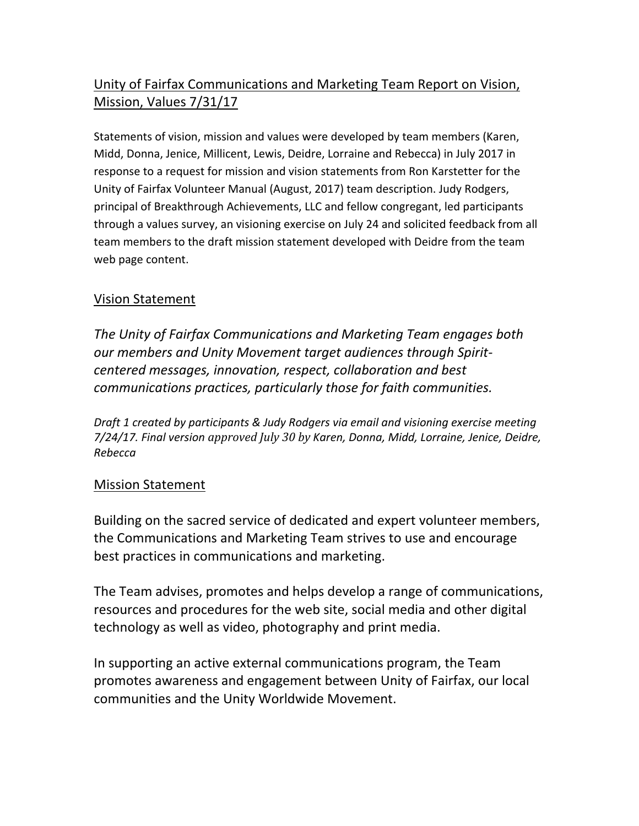## Unity of Fairfax Communications and Marketing Team Report on Vision, Mission, Values 7/31/17

Statements of vision, mission and values were developed by team members (Karen, Midd, Donna, Jenice, Millicent, Lewis, Deidre, Lorraine and Rebecca) in July 2017 in response to a request for mission and vision statements from Ron Karstetter for the Unity of Fairfax Volunteer Manual (August, 2017) team description. Judy Rodgers, principal of Breakthrough Achievements, LLC and fellow congregant, led participants through a values survey, an visioning exercise on July 24 and solicited feedback from all team members to the draft mission statement developed with Deidre from the team web page content.

## Vision Statement

*The Unity of Fairfax Communications and Marketing Team engages both* our members and Unity Movement target audiences through Spirit*centered messages, innovation, respect, collaboration and best communications practices, particularly those for faith communities.* 

*Draft 1 created by participants & Judy Rodgers via email and visioning exercise meeting 7/24/17. Final version approved July 30 by Karen, Donna, Midd, Lorraine, Jenice, Deidre, Rebecca*

## **Mission Statement**

Building on the sacred service of dedicated and expert volunteer members, the Communications and Marketing Team strives to use and encourage best practices in communications and marketing.

The Team advises, promotes and helps develop a range of communications, resources and procedures for the web site, social media and other digital technology as well as video, photography and print media.

In supporting an active external communications program, the Team promotes awareness and engagement between Unity of Fairfax, our local communities and the Unity Worldwide Movement.